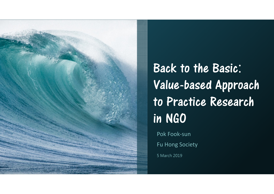

Back to the Basic: Value-based Approach to Practice Research in NGO

Pok Fook-sun

Fu Hong Society

5 March 2019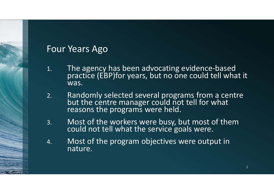#### Four Years Ago

- 1. The agency has been advocating evidence-based practice (EBP)for years, but no one could tell what it was.
- 2. Randomly selected several programs from a centrebut the centre manager could not tell for what<br>reasons the programs were held.
- 3.Most of the workers were busy, but most of them could not tell what the service goals were.
- 4. Most of the program objectives were output in nature.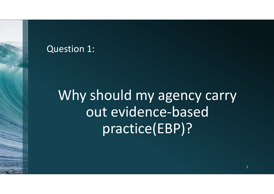#### Question 1:

Why should my agency carry out evidence-based practice(EBP)?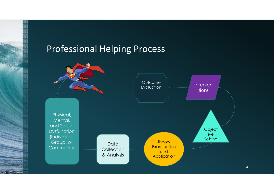#### Professional Helping Process

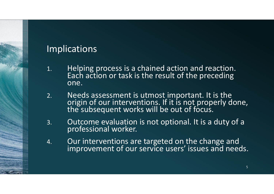#### Implications

- 1. Helping process is a chained action and reaction. Each action or task is the result of the preceding one.
- 2.Needs assessment is utmost important. It is the origin of our interventions. If it is not properly done,<br>the subsequent works will be out of focus.
- 3.Outcome evaluation is not optional. It is a duty of a professional worker.
- 4.Our interventions are targeted on the change and<br>improvement of our service users' issues and needs.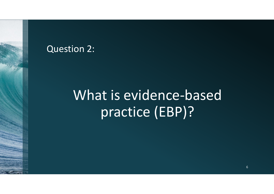#### Question 2:

# What is evidence-based practice (EBP)?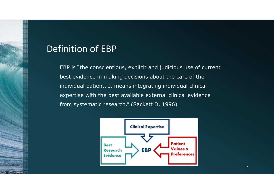#### Definition of EBP

EBP is "the conscientious, explicit and judicious use of current best evidence in making decisions about the care of the individual patient. It means integrating individual clinical expertise with the best available external clinical evidence from systematic research." (Sackett D, 1996)

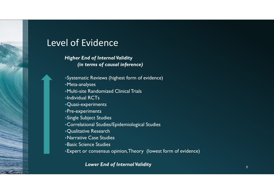#### Level of Evidence

#### Higher End of Internal Validity (in terms of causal inference)

- Systematic Reviews (highest form of evidence)
- Meta-analyses
- Multi-site Randomized Clinical Trials
- Individual RCTs
- Quasi-experiments
- Pre-experiments
- Single Subject Studies
- Correlational Studies/Epidemiological Studies
- Qualitative Research
- Narrative Case Studies
- Basic Science Studies
- Expert or consensus opinion, Theory (lowest form of evidence)

#### Lower End of Internal Validity And Allen Control of Bosser Basic School of Bosser Basic School of Bosser Basic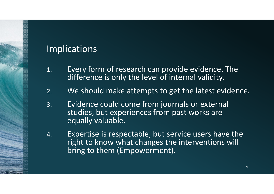#### Implications

- 1. Every form of research can provide evidence. The difference is only the level of internal validity.
- 2.We should make attempts to get the latest evidence.
- 3. Evidence could come from journals or external studies, but experiences from past works are equally valuable.
- 4. Expertise is respectable, but service users have the right to know what changes the interventions will bring to them (Empowerment).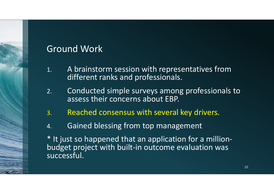### Ground Work

- 1. A brainstorm session with representatives from different ranks and professionals.
- 2. Conducted simple surveys among professionals to assess their concerns about EBP.
- 3.Reached consensus with several key drivers.
- 4.Gained blessing from top management

\* It just so happened that an application for a millionbudget project with built-in outcome evaluation wassuccessful.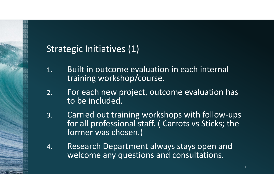### Strategic Initiatives (1)

- 1. Built in outcome evaluation in each internal training workshop/course.
- 2. For each new project, outcome evaluation has to be included.
- 3. Carried out training workshops with follow-ups for all professional staff. ( Carrots vs Sticks; the former was chosen.)
- 4. Research Department always stays open and welcome any questions and consultations.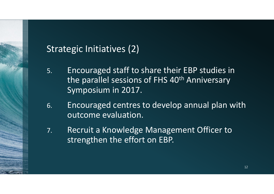### Strategic Initiatives (2)

- 5. Encouraged staff to share their EBP studies in the parallel sessions of FHS 40<sup>th</sup> Anniversary Symposium in 2017.
- 6. Encouraged centres to develop annual plan with outcome evaluation.
- 7. Recruit a Knowledge Management Officer to strengthen the effort on EBP.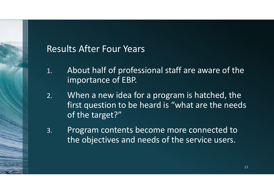#### Results After Four Years

- 1. About half of professional staff are aware of the importance of EBP.
- 2. When a new idea for a program is hatched, the first question to be heard is "what are the needs of the target?"
- 3. Program contents become more connected to the objectives and needs of the service users.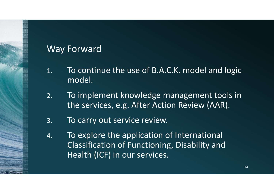### Way Forward

- 1. To continue the use of B.A.C.K. model and logic model.
- 2. To implement knowledge management tools in the services, e.g. After Action Review (AAR).
- 3.To carry out service review.
- 4. To explore the application of International Classification of Functioning, Disability and Health (ICF) in our services.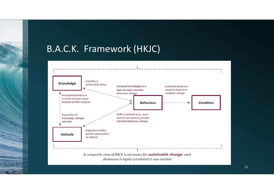#### B.A.C.K. Framework (HKJC)



15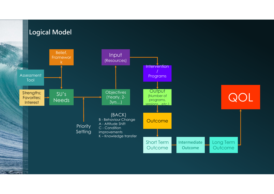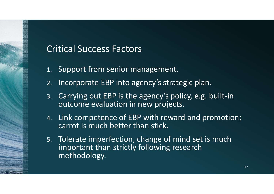#### Critical Success Factors

- 1. Support from senior management.
- 2.Incorporate EBP into agency's strategic plan.
- 3. Carrying out EBP is the agency's policy, e.g. built-in outcome evaluation in new projects.
- 4. Link competence of EBP with reward and promotion; carrot is much better than stick.
- 5. Tolerate imperfection, change of mind set is much important than strictly following research methodology.